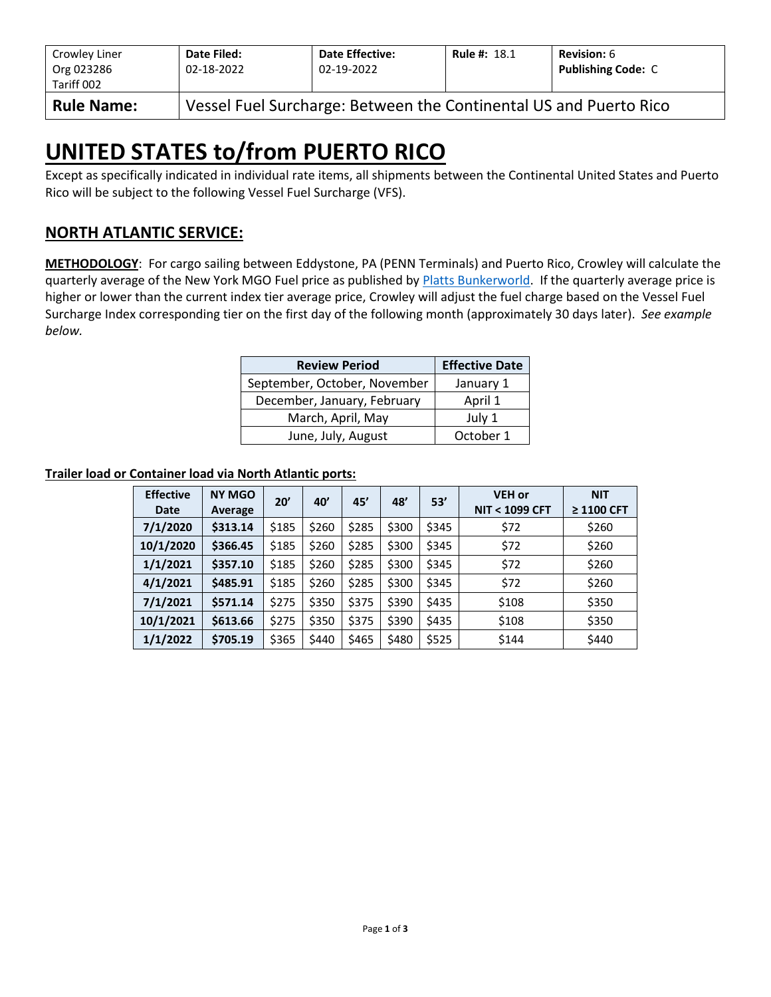| Crowley Liner<br>Org 023286<br>Tariff 002 | Date Filed:<br>02-18-2022                                         | <b>Date Effective:</b><br>02-19-2022 | <b>Rule #: 18.1</b> | <b>Revision: 6</b><br><b>Publishing Code: C</b> |  |  |  |  |
|-------------------------------------------|-------------------------------------------------------------------|--------------------------------------|---------------------|-------------------------------------------------|--|--|--|--|
| <b>Rule Name:</b>                         | Vessel Fuel Surcharge: Between the Continental US and Puerto Rico |                                      |                     |                                                 |  |  |  |  |

# **UNITED STATES to/from PUERTO RICO**

Except as specifically indicated in individual rate items, all shipments between the Continental United States and Puerto Rico will be subject to the following Vessel Fuel Surcharge (VFS).

## **NORTH ATLANTIC SERVICE:**

**METHODOLOGY**: For cargo sailing between Eddystone, PA (PENN Terminals) and Puerto Rico, Crowley will calculate the quarterly average of the New York MGO Fuel price as published by [Platts Bunkerworld.](http://www.bunkerworld.com/) If the quarterly average price is higher or lower than the current index tier average price, Crowley will adjust the fuel charge based on the Vessel Fuel Surcharge Index corresponding tier on the first day of the following month (approximately 30 days later). *See example below.*

| <b>Review Period</b>         | <b>Effective Date</b> |
|------------------------------|-----------------------|
| September, October, November | January 1             |
| December, January, February  | April 1               |
| March, April, May            | July 1                |
| June, July, August           | October 1             |

#### **Trailer load or Container load via North Atlantic ports:**

| <b>Effective</b><br>Date | <b>NY MGO</b><br>Average | 20'   | 40'   | 45'   | 48'   | 53'   | <b>VEH or</b><br><b>NIT &lt; 1099 CFT</b> | <b>NIT</b><br>≥ 1100 CFT |
|--------------------------|--------------------------|-------|-------|-------|-------|-------|-------------------------------------------|--------------------------|
| 7/1/2020                 | \$313.14                 | \$185 | \$260 | \$285 | \$300 | \$345 | \$72                                      | \$260                    |
| 10/1/2020                | \$366.45                 | \$185 | \$260 | \$285 | \$300 | \$345 | \$72                                      | \$260                    |
| 1/1/2021                 | \$357.10                 | \$185 | \$260 | \$285 | \$300 | \$345 | \$72                                      | \$260                    |
| 4/1/2021                 | \$485.91                 | \$185 | \$260 | \$285 | \$300 | \$345 | \$72                                      | \$260                    |
| 7/1/2021                 | \$571.14                 | \$275 | \$350 | \$375 | \$390 | \$435 | \$108                                     | \$350                    |
| 10/1/2021                | \$613.66                 | \$275 | \$350 | \$375 | \$390 | \$435 | \$108                                     | \$350                    |
| 1/1/2022                 | \$705.19                 | \$365 | \$440 | \$465 | \$480 | \$525 | \$144                                     | \$440                    |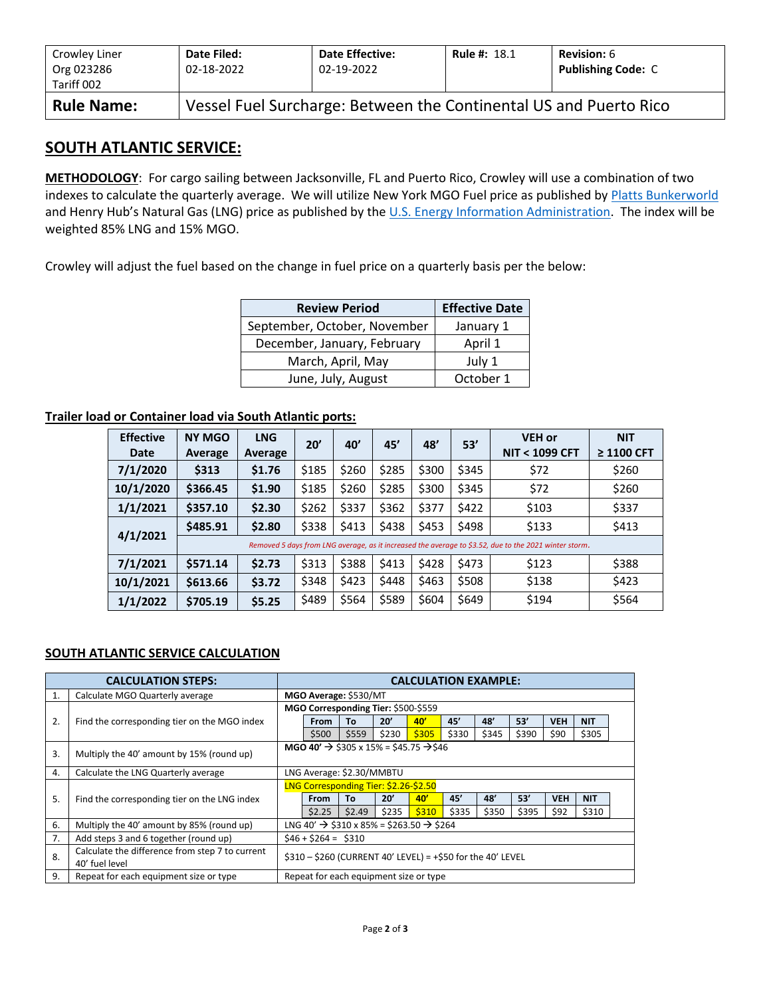| Crowley Liner<br>Org 023286<br>Tariff 002 | Date Filed:<br>02-18-2022                                         | <b>Date Effective:</b><br>02-19-2022 | <b>Rule #: 18.1</b> | <b>Revision: 6</b><br><b>Publishing Code: C</b> |  |  |  |  |
|-------------------------------------------|-------------------------------------------------------------------|--------------------------------------|---------------------|-------------------------------------------------|--|--|--|--|
| <b>Rule Name:</b>                         | Vessel Fuel Surcharge: Between the Continental US and Puerto Rico |                                      |                     |                                                 |  |  |  |  |

### **SOUTH ATLANTIC SERVICE:**

**METHODOLOGY**: For cargo sailing between Jacksonville, FL and Puerto Rico, Crowley will use a combination of two indexes to calculate the quarterly average. We will utilize New York MGO Fuel price as published by [Platts Bunkerworld](http://www.bunkerworld.com/) and Henry Hub's Natural Gas (LNG) price as published by the [U.S. Energy Information Administration.](https://www.eia.gov/dnav/ng/hist/rngwhhdD.htm) The index will be weighted 85% LNG and 15% MGO.

Crowley will adjust the fuel based on the change in fuel price on a quarterly basis per the below:

| <b>Review Period</b>         | <b>Effective Date</b> |
|------------------------------|-----------------------|
| September, October, November | January 1             |
| December, January, February  | April 1               |
| March, April, May            | July 1                |
| June, July, August           | October 1             |

#### **Trailer load or Container load via South Atlantic ports:**

| <b>Effective</b> | <b>NY MGO</b> | <b>LNG</b> | 20'   | 40'   | 45'   | 48'   | 53'   | <b>VEH or</b><br>์ < 1099 CFT<br><b>NIT</b>                                                           | <b>NIT</b><br>$\geq$ 1100 CFT |
|------------------|---------------|------------|-------|-------|-------|-------|-------|-------------------------------------------------------------------------------------------------------|-------------------------------|
| Date             | Average       | Average    |       |       |       |       |       |                                                                                                       |                               |
| 7/1/2020         | \$313         | \$1.76     | \$185 | \$260 | \$285 | \$300 | \$345 | \$72                                                                                                  | \$260                         |
| 10/1/2020        | \$366.45      | \$1.90     | \$185 | \$260 | \$285 | \$300 | \$345 | \$72                                                                                                  | \$260                         |
| 1/1/2021         | \$357.10      | \$2.30     | \$262 | \$337 | \$362 | \$377 | \$422 | \$103                                                                                                 | \$337                         |
|                  | \$485.91      | \$2.80     | \$338 | \$413 | \$438 | \$453 | \$498 | \$133                                                                                                 | \$413                         |
| 4/1/2021         |               |            |       |       |       |       |       | Removed 5 days from LNG average, as it increased the average to \$3.52, due to the 2021 winter storm. |                               |
| 7/1/2021         | \$571.14      | \$2.73     | \$313 | \$388 | \$413 | \$428 | \$473 | \$123                                                                                                 | \$388                         |
| 10/1/2021        | \$613.66      | \$3.72     | \$348 | \$423 | \$448 | \$463 | \$508 | \$138                                                                                                 | \$423                         |
| 1/1/2022         | \$705.19      | \$5.25     | \$489 | \$564 | \$589 | \$604 | \$649 | \$194                                                                                                 | \$564                         |

#### **SOUTH ATLANTIC SERVICE CALCULATION**

|    | <b>CALCULATION STEPS:</b>                                         |                                                                | <b>CALCULATION EXAMPLE:</b>                                      |        |       |                                       |       |       |       |            |            |  |
|----|-------------------------------------------------------------------|----------------------------------------------------------------|------------------------------------------------------------------|--------|-------|---------------------------------------|-------|-------|-------|------------|------------|--|
| 1. | Calculate MGO Quarterly average                                   |                                                                | MGO Average: \$530/MT                                            |        |       |                                       |       |       |       |            |            |  |
|    |                                                                   | MGO Corresponding Tier: \$500-\$559                            |                                                                  |        |       |                                       |       |       |       |            |            |  |
| 2. | Find the corresponding tier on the MGO index                      |                                                                | From                                                             | То     | 20'   | 40'                                   | 45'   | 48'   | 53'   | <b>VEH</b> | <b>NIT</b> |  |
|    |                                                                   |                                                                | \$500                                                            | \$559  | \$230 | \$305                                 | \$330 | \$345 | \$390 | \$90       | \$305      |  |
| 3. | Multiply the 40' amount by 15% (round up)                         | MGO 40' $\rightarrow$ \$305 x 15% = \$45.75 $\rightarrow$ \$46 |                                                                  |        |       |                                       |       |       |       |            |            |  |
| 4. | Calculate the LNG Quarterly average                               | LNG Average: \$2.30/MMBTU                                      |                                                                  |        |       |                                       |       |       |       |            |            |  |
|    |                                                                   |                                                                |                                                                  |        |       | LNG Corresponding Tier: \$2.26-\$2.50 |       |       |       |            |            |  |
| 5. | Find the corresponding tier on the LNG index                      |                                                                | <b>From</b>                                                      | To     | 20'   | 40'                                   | 45'   | 48'   | 53'   | <b>VEH</b> | <b>NIT</b> |  |
|    |                                                                   |                                                                | \$2.25                                                           | \$2.49 | \$235 | \$310                                 | \$335 | \$350 | \$395 | \$92       | \$310      |  |
| 6. | Multiply the 40' amount by 85% (round up)                         |                                                                | LNG 40' $\rightarrow$ \$310 x 85% = \$263.50 $\rightarrow$ \$264 |        |       |                                       |       |       |       |            |            |  |
| 7. | Add steps 3 and 6 together (round up)                             |                                                                | $$46 + $264 = $310$                                              |        |       |                                       |       |       |       |            |            |  |
| 8. | Calculate the difference from step 7 to current<br>40' fuel level | $$310 - $260$ (CURRENT 40' LEVEL) = +\$50 for the 40' LEVEL    |                                                                  |        |       |                                       |       |       |       |            |            |  |
| 9. | Repeat for each equipment size or type                            |                                                                | Repeat for each equipment size or type                           |        |       |                                       |       |       |       |            |            |  |